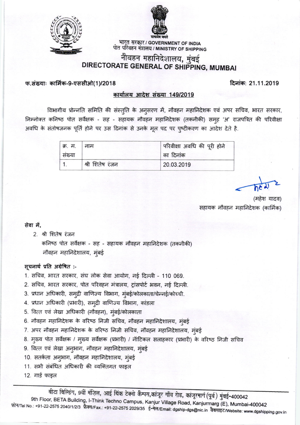



् भारत सरकार / GOVERNMENT OF INDIA<br>पोत परिवहन मंत्रालय / MINISTRY OF SHIPPING

# नौवहन महानिदेशालय, मुंबई DIRECTORATE GENERAL OF SHIPPING, MUMBAI

#### फ.संख्याः कार्मिक-9-एससीओ(1)/2018

दिनांक: 21.11.2019

## कार्यालय आदेश संख्या 149/2019

विभागीय प्रोन्नति समिति की संस्तृति के अनुसरण में, नौवहन महानिदेशक एवं अपर सचिव, भारत सरकार, निम्नोक्त कनिष्ठ पोत सर्वेक्षक - सह - सहायक नौवहन महानिदेशक (तकनीकी) समूह 'अ' राजपत्रित की परिवीक्षा अवधि के संतोषजनक पूर्ति होने पर उस दिनांक से उनके मूल पद पर प्ष्टीकरण का आदेश देते है.

| क्र. म. | नाम             | परिवीक्षा अवधि की पूरी होने |
|---------|-----------------|-----------------------------|
| संख्या  |                 | का दिनांक                   |
|         | श्री शितेष रंजन | 20.03.2019                  |

सहायक नौवहन महानिदेशक (कार्मिक)

### सेवा में.

2. श्री शितेष रंजन

कनिष्ठ पोत सर्वेक्षक - सह - सहायक नौवहन महानिदेशक (तकनीकी) नौवहन महानिदेशालय, मुंबई

#### सूचनार्थ प्रति अग्रेषित :-

- 1. सचिव, भारत सरकार, संघ लोक सेवा आयोग, नई दिल्ली 110 069.
- 2. सचिव, भारत सरकार, पोत परिवहन मंत्रालय, ट्रांसपोर्ट भवन, नई दिल्ली.
- 3. प्रधान अधिकारी, समुद्री वाणिज्य विभाग, मुंबई/कोलकाता/चेन्नई/कोच्ची.
- 4. प्रधान अधिकारी (प्रभारी), समुद्री वाणिज्य विभाग, कांडला
- 5. वित्त एवं लेखा अधिकारी (नौवहन), मुंबई/कोलकाता
- 6. नौवहन महानिदेशक के वरिष्ठ निजी सचिव, नौवहन महानिदेशालय, मुंबई
- 7. अपर नौवहन महानिदेशक के वरिष्ठ निजी सचिव, नौवहन महानिदेशालय, मुंबई
- 8. मुख्य पोत सर्वेक्षक / मुख्य सर्वेक्षक (प्रभारी) / नॉटिकल सलाहकार (प्रभारी) के वरिष्ठ निजी सचिव
- 9. वित्त एवं लेखा अनुभाग, नौवहन महानिदेशालय, मुंबई
- 10. सतर्कता अनुभाग, नौवहन महानिदेशालय, मुंबई
- 11. सभी संबंधित अधिकारी की व्यक्तिगत फाइल
- 12. गार्ड फाइल

वीटा विल्डिंग, 9वीं मंज़िल, आई थिंक टेक्नो कैम्पस,कांजूर गाँव रोड, कांजूरमार्ग (पूर्व) मुंबई-400042 9th Floor, BETA Building, I-Think Techno Campus, Kanjur Village Road, Kanjurmarg (E), Mumbai-400042 फ़ोन/Tel No.: +91-22-2575 2040/1/2/3 फ़ैक्स/Fax.: +91-22-2575 2029/35 ई-मेल/Email: dgship-dgs@nic.in वैबसाइट/Website: www.dgshipping.gov.in